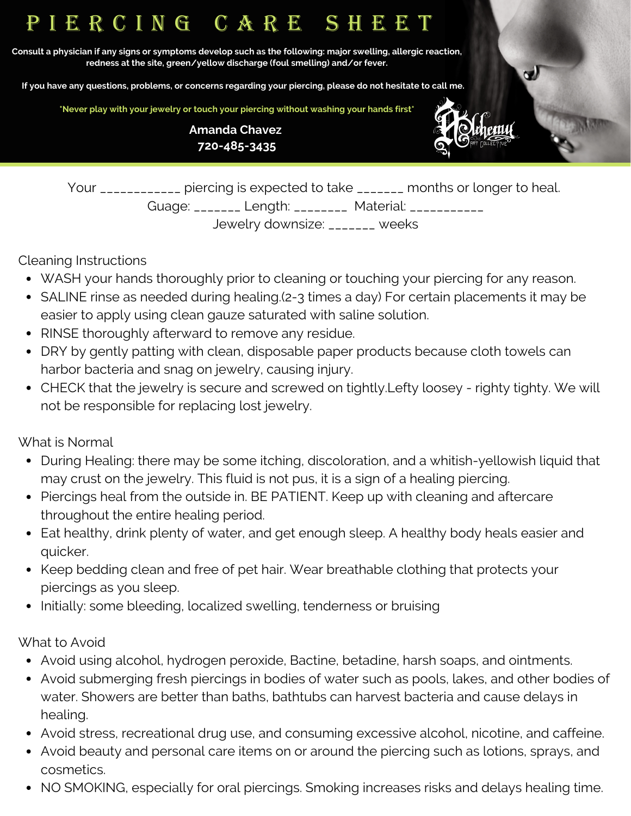# P I E R C I N G C A R E S H E E T

Consult a physician if any signs or symptoms develop such as the following: major swelling, allergic reaction, **redness at the site, green/yellow discharge (foul smelling) and/or fever.**

If you have any questions, problems, or concerns regarding your piercing, please do not hesitate to call me.

**\*Never play with your jewelry or touch your piercing without washing your hands first\***

**Amanda Chavez 720-485-3435**



 $\mathbf{C}$ 

Your \_\_\_\_\_\_\_\_\_\_\_\_ piercing is expected to take \_\_\_\_\_\_\_ months or longer to heal. Guage: \_\_\_\_\_\_\_ Length: \_\_\_\_\_\_\_\_ Material: \_\_\_\_\_\_\_\_\_\_\_ Jewelry downsize: \_\_\_\_\_\_\_ weeks

Cleaning Instructions

- WASH your hands thoroughly prior to cleaning or touching your piercing for any reason.
- SALINE rinse as needed during healing.(2-3 times a day) For certain placements it may be easier to apply using clean gauze saturated with saline solution.
- RINSE thoroughly afterward to remove any residue.
- DRY by gently patting with clean, disposable paper products because cloth towels can harbor bacteria and snag on jewelry, causing injury.
- CHECK that the jewelry is secure and screwed on tightly.Lefty loosey righty tighty. We will not be responsible for replacing lost jewelry.

What is Normal

- During Healing: there may be some itching, discoloration, and a whitish-yellowish liquid that may crust on the jewelry. This fluid is not pus, it is a sign of a healing piercing.
- Piercings heal from the outside in. BE PATIENT. Keep up with cleaning and aftercare throughout the entire healing period.
- Eat healthy, drink plenty of water, and get enough sleep. A healthy body heals easier and quicker.
- Keep bedding clean and free of pet hair. Wear breathable clothing that protects your piercings as you sleep.
- Initially: some bleeding, localized swelling, tenderness or bruising

What to Avoid

- Avoid using alcohol, hydrogen peroxide, Bactine, betadine, harsh soaps, and ointments.
- Avoid submerging fresh piercings in bodies of water such as pools, lakes, and other bodies of water. Showers are better than baths, bathtubs can harvest bacteria and cause delays in healing.
- Avoid stress, recreational drug use, and consuming excessive alcohol, nicotine, and caffeine.
- Avoid beauty and personal care items on or around the piercing such as lotions, sprays, and cosmetics.
- NO SMOKING, especially for oral piercings. Smoking increases risks and delays healing time.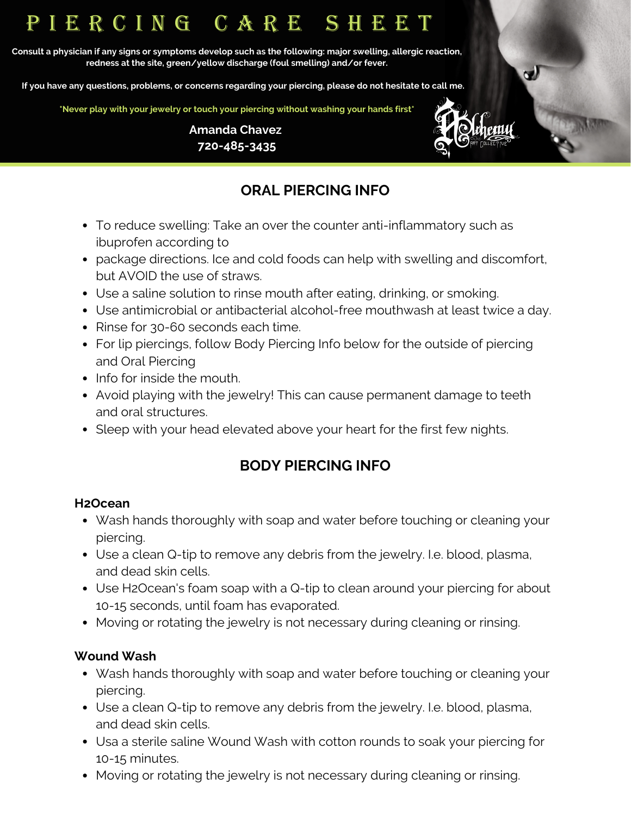# P I E R C I N G C A R E S H E E T

Consult a physician if any signs or symptoms develop such as the following: major swelling, allergic reaction, **redness at the site, green/yellow discharge (foul smelling) and/or fever.**

If you have any questions, problems, or concerns regarding your piercing, please do not hesitate to call me.

**\*Never play with your jewelry or touch your piercing without washing your hands first\***



 $\mathbf{C}$ 

**Amanda Chavez 720-485-3435**

## **ORAL PIERCING INFO**

- To reduce swelling: Take an over the counter anti-inflammatory such as ibuprofen according to
- package directions. Ice and cold foods can help with swelling and discomfort, but AVOID the use of straws.
- Use a saline solution to rinse mouth after eating, drinking, or smoking.
- Use antimicrobial or antibacterial alcohol-free mouthwash at least twice a day.
- Rinse for 30-60 seconds each time.
- For lip piercings, follow Body Piercing Info below for the outside of piercing and Oral Piercing
- Info for inside the mouth.
- Avoid playing with the jewelry! This can cause permanent damage to teeth and oral structures.
- Sleep with your head elevated above your heart for the first few nights.

### **BODY PIERCING INFO**

#### **H2Ocean**

- Wash hands thoroughly with soap and water before touching or cleaning your piercing.
- Use a clean Q-tip to remove any debris from the jewelry. I.e. blood, plasma, and dead skin cells.
- Use H2Ocean's foam soap with a Q-tip to clean around your piercing for about 10-15 seconds, until foam has evaporated.
- Moving or rotating the jewelry is not necessary during cleaning or rinsing.

### **Wound Wash**

- Wash hands thoroughly with soap and water before touching or cleaning your piercing.
- Use a clean Q-tip to remove any debris from the jewelry. I.e. blood, plasma, and dead skin cells.
- Usa a sterile saline Wound Wash with cotton rounds to soak your piercing for 10-15 minutes.
- Moving or rotating the jewelry is not necessary during cleaning or rinsing.